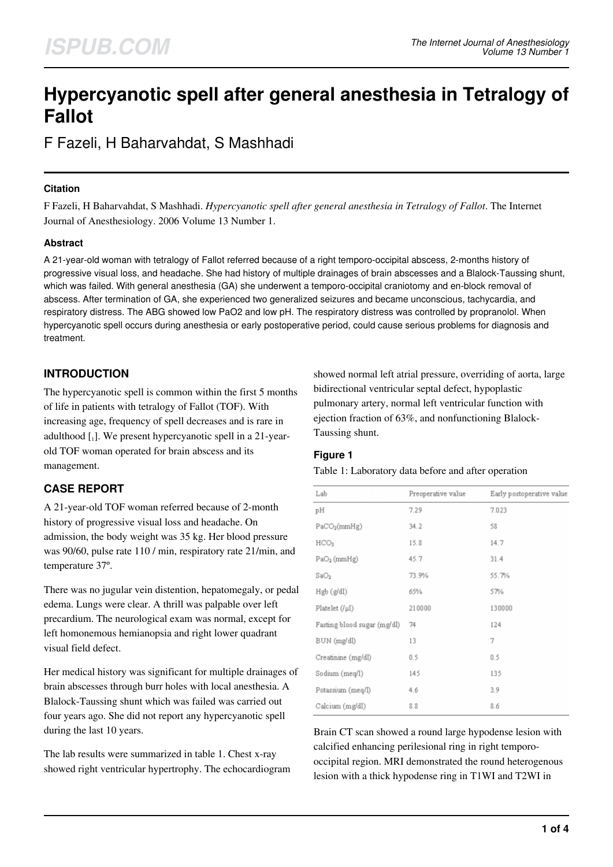# **Hypercyanotic spell after general anesthesia in Tetralogy of Fallot**

F Fazeli, H Baharvahdat, S Mashhadi

## **Citation**

F Fazeli, H Baharvahdat, S Mashhadi. *Hypercyanotic spell after general anesthesia in Tetralogy of Fallot*. The Internet Journal of Anesthesiology. 2006 Volume 13 Number 1.

## **Abstract**

A 21-year-old woman with tetralogy of Fallot referred because of a right temporo-occipital abscess, 2-months history of progressive visual loss, and headache. She had history of multiple drainages of brain abscesses and a Blalock-Taussing shunt, which was failed. With general anesthesia (GA) she underwent a temporo-occipital craniotomy and en-block removal of abscess. After termination of GA, she experienced two generalized seizures and became unconscious, tachycardia, and respiratory distress. The ABG showed low PaO2 and low pH. The respiratory distress was controlled by propranolol. When hypercyanotic spell occurs during anesthesia or early postoperative period, could cause serious problems for diagnosis and treatment.

# **INTRODUCTION**

The hypercyanotic spell is common within the first 5 months of life in patients with tetralogy of Fallot (TOF). With increasing age, frequency of spell decreases and is rare in adulthood [1]. We present hypercyanotic spell in a 21-yearold TOF woman operated for brain abscess and its management.

# **CASE REPORT**

A 21-year-old TOF woman referred because of 2-month history of progressive visual loss and headache. On admission, the body weight was 35 kg. Her blood pressure was 90/60, pulse rate 110 / min, respiratory rate 21/min, and temperature 37º.

There was no jugular vein distention, hepatomegaly, or pedal edema. Lungs were clear. A thrill was palpable over left precardium. The neurological exam was normal, except for left homonemous hemianopsia and right lower quadrant visual field defect.

Her medical history was significant for multiple drainages of brain abscesses through burr holes with local anesthesia. A Blalock-Taussing shunt which was failed was carried out four years ago. She did not report any hypercyanotic spell during the last 10 years.

The lab results were summarized in table 1. Chest x-ray showed right ventricular hypertrophy. The echocardiogram showed normal left atrial pressure, overriding of aorta, large bidirectional ventricular septal defect, hypoplastic pulmonary artery, normal left ventricular function with ejection fraction of 63%, and nonfunctioning Blalock-Taussing shunt.

### **Figure 1**

#### Table 1: Laboratory data before and after operation

| Lab                         | Preoperative value | Early postoperative value |
|-----------------------------|--------------------|---------------------------|
| pH                          | 7.29               | 7.023                     |
| PaCO <sub>2</sub> (mmHg)    | 34.2               | 58                        |
| HCO <sub>3</sub>            | 15.8               | 14.7                      |
| $PaO2$ (mmHg)               | 45.7               | 31.4                      |
| SaO <sub>2</sub>            | 73.9%              | 55.7%                     |
| Hgb (g/dl)                  | 65%                | 57%                       |
| Platelet $(f\mu I)$         | 210000             | 130000                    |
| Fasting blood sugar (mg/dl) | 74                 | 124                       |
| BUN (mg/dl)                 | 13                 | 7                         |
| Creatinine (mg/dl)          | 0.5                | 0.5                       |
| Sodium (meg/l)              | 145                | 135                       |
| Potassium (meq/I)           | 4.6                | 3.9                       |
| Calcium (mg/dl)             | 8.8                | 8.6                       |

Brain CT scan showed a round large hypodense lesion with calcified enhancing perilesional ring in right temporooccipital region. MRI demonstrated the round heterogenous lesion with a thick hypodense ring in T1WI and T2WI in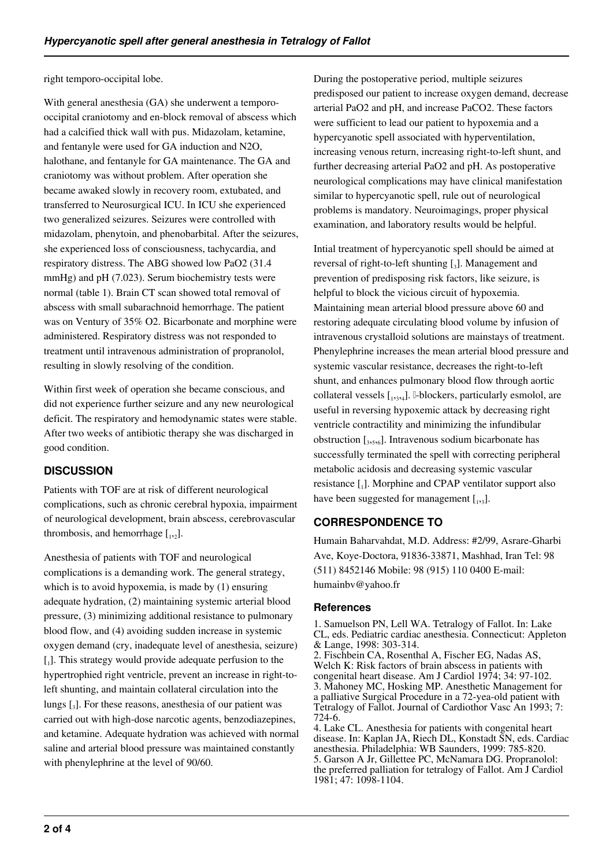right temporo-occipital lobe.

With general anesthesia (GA) she underwent a temporooccipital craniotomy and en-block removal of abscess which had a calcified thick wall with pus. Midazolam, ketamine, and fentanyle were used for GA induction and N2O, halothane, and fentanyle for GA maintenance. The GA and craniotomy was without problem. After operation she became awaked slowly in recovery room, extubated, and transferred to Neurosurgical ICU. In ICU she experienced two generalized seizures. Seizures were controlled with midazolam, phenytoin, and phenobarbital. After the seizures, she experienced loss of consciousness, tachycardia, and respiratory distress. The ABG showed low PaO2 (31.4 mmHg) and pH (7.023). Serum biochemistry tests were normal (table 1). Brain CT scan showed total removal of abscess with small subarachnoid hemorrhage. The patient was on Ventury of 35% O2. Bicarbonate and morphine were administered. Respiratory distress was not responded to treatment until intravenous administration of propranolol, resulting in slowly resolving of the condition.

Within first week of operation she became conscious, and did not experience further seizure and any new neurological deficit. The respiratory and hemodynamic states were stable. After two weeks of antibiotic therapy she was discharged in good condition.

# **DISCUSSION**

Patients with TOF are at risk of different neurological complications, such as chronic cerebral hypoxia, impairment of neurological development, brain abscess, cerebrovascular thrombosis, and hemorrhage  $[$ <sub>1,2</sub> $]$ .

Anesthesia of patients with TOF and neurological complications is a demanding work. The general strategy, which is to avoid hypoxemia, is made by (1) ensuring adequate hydration, (2) maintaining systemic arterial blood pressure, (3) minimizing additional resistance to pulmonary blood flow, and (4) avoiding sudden increase in systemic oxygen demand (cry, inadequate level of anesthesia, seizure) [1]. This strategy would provide adequate perfusion to the hypertrophied right ventricle, prevent an increase in right-toleft shunting, and maintain collateral circulation into the lungs [<sup>3</sup> ]. For these reasons, anesthesia of our patient was carried out with high-dose narcotic agents, benzodiazepines, and ketamine. Adequate hydration was achieved with normal saline and arterial blood pressure was maintained constantly with phenylephrine at the level of 90/60.

During the postoperative period, multiple seizures predisposed our patient to increase oxygen demand, decrease arterial PaO2 and pH, and increase PaCO2. These factors were sufficient to lead our patient to hypoxemia and a hypercyanotic spell associated with hyperventilation, increasing venous return, increasing right-to-left shunt, and further decreasing arterial PaO2 and pH. As postoperative neurological complications may have clinical manifestation similar to hypercyanotic spell, rule out of neurological problems is mandatory. Neuroimagings, proper physical examination, and laboratory results would be helpful.

Intial treatment of hypercyanotic spell should be aimed at reversal of right-to-left shunting  $\left[ \begin{smallmatrix} 3 \end{smallmatrix} \right]$ . Management and prevention of predisposing risk factors, like seizure, is helpful to block the vicious circuit of hypoxemia. Maintaining mean arterial blood pressure above 60 and restoring adequate circulating blood volume by infusion of intravenous crystalloid solutions are mainstays of treatment. Phenylephrine increases the mean arterial blood pressure and systemic vascular resistance, decreases the right-to-left shunt, and enhances pulmonary blood flow through aortic collateral vessels [1,3,4]. I-blockers, particularly esmolol, are useful in reversing hypoxemic attack by decreasing right ventricle contractility and minimizing the infundibular obstruction  $[s, s, s_0]$ . Intravenous sodium bicarbonate has successfully terminated the spell with correcting peripheral metabolic acidosis and decreasing systemic vascular resistance [1]. Morphine and CPAP ventilator support also have been suggested for management  $[$ <sub>1,3</sub>].

# **CORRESPONDENCE TO**

Humain Baharvahdat, M.D. Address: #2/99, Asrare-Gharbi Ave, Koye-Doctora, 91836-33871, Mashhad, Iran Tel: 98 (511) 8452146 Mobile: 98 (915) 110 0400 E-mail: humainbv@yahoo.fr

## **References**

1. Samuelson PN, Lell WA. Tetralogy of Fallot. In: Lake CL, eds. Pediatric cardiac anesthesia. Connecticut: Appleton & Lange, 1998: 303-314. 2. Fischbein CA, Rosenthal A, Fischer EG, Nadas AS, Welch K: Risk factors of brain abscess in patients with

congenital heart disease. Am J Cardiol 1974; 34: 97-102. 3. Mahoney MC, Hosking MP. Anesthetic Management for a palliative Surgical Procedure in a 72-yea-old patient with Tetralogy of Fallot. Journal of Cardiothor Vasc An 1993; 7: 724-6.

4. Lake CL. Anesthesia for patients with congenital heart disease. In: Kaplan JA, Riech DL, Konstadt SN, eds. Cardiac anesthesia. Philadelphia: WB Saunders, 1999: 785-820. 5. Garson A Jr, Gillettee PC, McNamara DG. Propranolol: the preferred palliation for tetralogy of Fallot. Am J Cardiol 1981; 47: 1098-1104.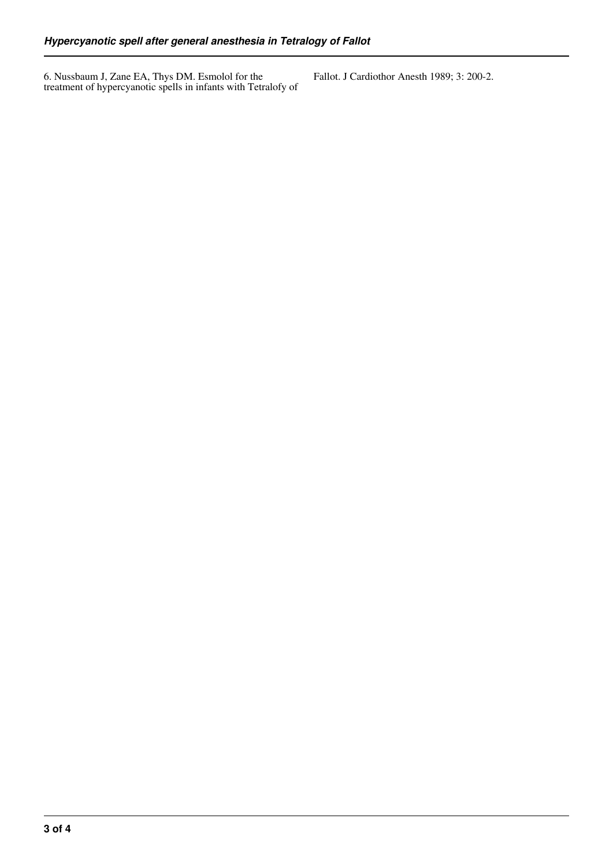6. Nussbaum J, Zane EA, Thys DM. Esmolol for the treatment of hypercyanotic spells in infants with Tetralofy of Fallot. J Cardiothor Anesth 1989; 3: 200-2.